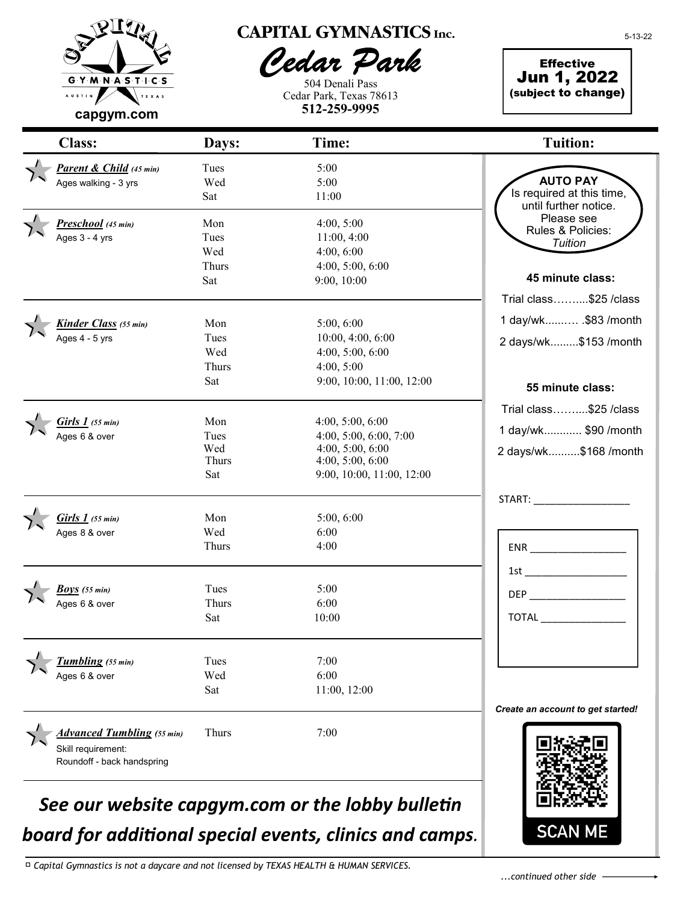

## **CAPITAL GYMNASTICS Inc.**

Pedar Park

504 Denali Pass Cedar Park, Texas 78613 **512-259-9995**

**Effective** Jun 1, 2022 (subject to change)

*Parent & Child (45 min)* Tues 5:00 Ages walking -  $3 \text{ yrs}$  Wed  $5:00$ Sat 11:00 *Preschool (45 min)* Mon 4:00, 5:00 Ages 3 - 4 yrs Tues Tues 11:00, 4:00 Wed 4:00, 6:00 Thurs 4:00, 5:00, 6:00 Sat 9:00, 10:00 *Kinder Class (55 min)* Mon 5:00, 6:00 Ages 4 - 5 yrs Tues Tues 10:00, 4:00, 6:00 Wed 4:00, 5:00, 6:00 Thurs 4:00, 5:00 Sat 9:00, 10:00, 11:00, 12:00 *Girls 1 (55 min)* Mon 4:00, 5:00, 6:00<br>Ages 6 & over Tues 4:00, 5:00, 6:00 Tues 4:00, 5:00, 6:00, 7:00 Wed 4:00, 5:00, 6:00 Thurs 4:00, 5:00, 6:00 Sat 9:00, 10:00, 11:00, 12:00 *Girls 1 (55 min)* Mon 5:00, 6:00  $\frac{1}{2}$ ges 8 & over Wed 6:00 Thurs 4:00  $\overline{a}$ *Boys (55 min)* Tues 5:00 Ages 6 & over Thurs 6:00 Sat 10:00 *Tumbling (55 min)* Tues 7:00 Ages 6 & over  $\text{Wed}$  6:00 Sat 11:00, 12:00 *Advanced Tumbling (55 min)* Thurs 7:00 Skill requirement: Roundoff - back handspring Class: Days: Time: Tuition: ENR \_\_\_\_\_\_\_\_\_\_\_\_\_\_\_\_\_  $1$ st  $\overline{\phantom{a}}$  $DEP$ TOTAL \_\_\_\_\_\_\_\_\_\_\_\_\_\_\_ **45 minute class:** Trial class……....\$25 /class 1 day/wk......…. .\$83 /month 2 days/wk.........\$153 /month START: *Create an account to get started!* **AUTO PAY** Is required at this time, until further notice. Please see Rules & Policies: *Tuition* **55 minute class:** Trial class……....\$25 /class 1 day/wk............ \$90 /month 2 days/wk..........\$168 /month

# *See our website capgym.com or the lobby bulletin board for additional special events, clinics and camps.*